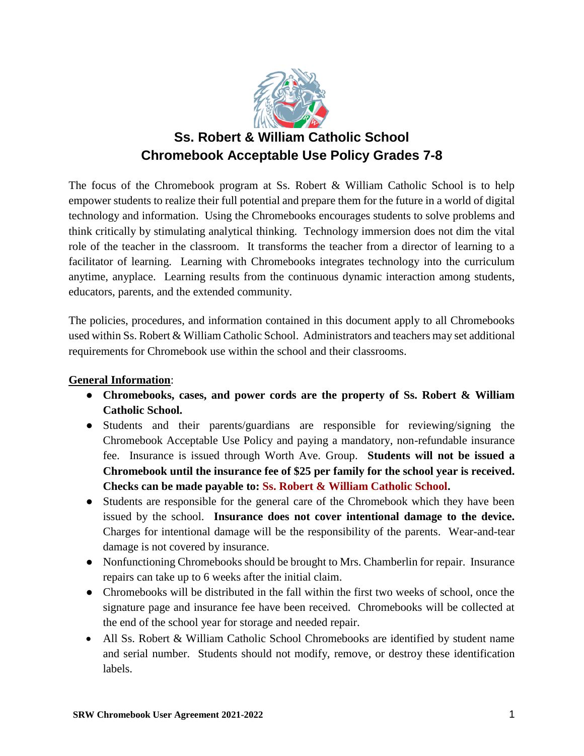

# **Ss. Robert & William Catholic School Chromebook Acceptable Use Policy Grades 7-8**

The focus of the Chromebook program at Ss. Robert & William Catholic School is to help empower students to realize their full potential and prepare them for the future in a world of digital technology and information. Using the Chromebooks encourages students to solve problems and think critically by stimulating analytical thinking. Technology immersion does not dim the vital role of the teacher in the classroom. It transforms the teacher from a director of learning to a facilitator of learning. Learning with Chromebooks integrates technology into the curriculum anytime, anyplace. Learning results from the continuous dynamic interaction among students, educators, parents, and the extended community.

The policies, procedures, and information contained in this document apply to all Chromebooks used within Ss. Robert & William Catholic School. Administrators and teachers may set additional requirements for Chromebook use within the school and their classrooms.

#### **General Information**:

- **Chromebooks, cases, and power cords are the property of Ss. Robert & William Catholic School.**
- Students and their parents/guardians are responsible for reviewing/signing the Chromebook Acceptable Use Policy and paying a mandatory, non-refundable insurance fee. Insurance is issued through Worth Ave. Group. **Students will not be issued a Chromebook until the insurance fee of \$25 per family for the school year is received. Checks can be made payable to: Ss. Robert & William Catholic School.**
- Students are responsible for the general care of the Chromebook which they have been issued by the school. **Insurance does not cover intentional damage to the device.** Charges for intentional damage will be the responsibility of the parents. Wear-and-tear damage is not covered by insurance.
- Nonfunctioning Chromebooks should be brought to Mrs. Chamberlin for repair. Insurance repairs can take up to 6 weeks after the initial claim.
- Chromebooks will be distributed in the fall within the first two weeks of school, once the signature page and insurance fee have been received. Chromebooks will be collected at the end of the school year for storage and needed repair.
- All Ss. Robert & William Catholic School Chromebooks are identified by student name and serial number. Students should not modify, remove, or destroy these identification labels.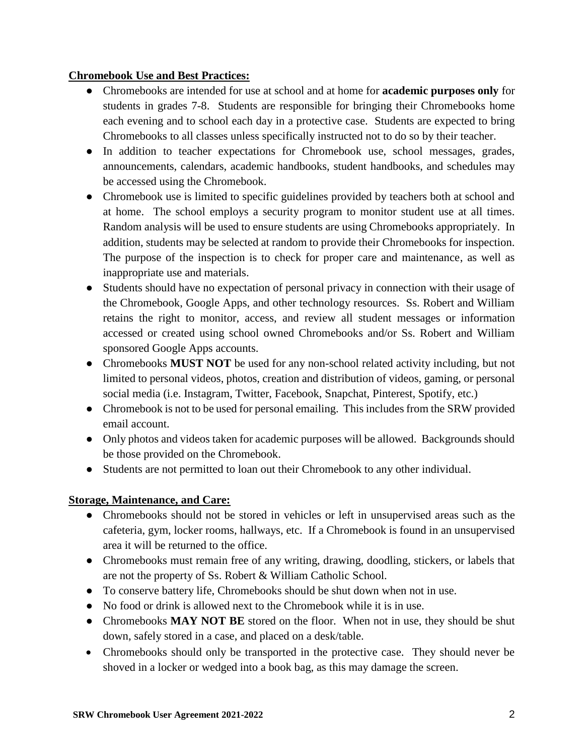#### **Chromebook Use and Best Practices:**

- Chromebooks are intended for use at school and at home for **academic purposes only** for students in grades 7-8. Students are responsible for bringing their Chromebooks home each evening and to school each day in a protective case. Students are expected to bring Chromebooks to all classes unless specifically instructed not to do so by their teacher.
- In addition to teacher expectations for Chromebook use, school messages, grades, announcements, calendars, academic handbooks, student handbooks, and schedules may be accessed using the Chromebook.
- Chromebook use is limited to specific guidelines provided by teachers both at school and at home. The school employs a security program to monitor student use at all times. Random analysis will be used to ensure students are using Chromebooks appropriately. In addition, students may be selected at random to provide their Chromebooks for inspection. The purpose of the inspection is to check for proper care and maintenance, as well as inappropriate use and materials.
- Students should have no expectation of personal privacy in connection with their usage of the Chromebook, Google Apps, and other technology resources. Ss. Robert and William retains the right to monitor, access, and review all student messages or information accessed or created using school owned Chromebooks and/or Ss. Robert and William sponsored Google Apps accounts.
- Chromebooks **MUST NOT** be used for any non-school related activity including, but not limited to personal videos, photos, creation and distribution of videos, gaming, or personal social media (i.e. Instagram, Twitter, Facebook, Snapchat, Pinterest, Spotify, etc.)
- Chromebook is not to be used for personal emailing. This includes from the SRW provided email account.
- Only photos and videos taken for academic purposes will be allowed. Backgrounds should be those provided on the Chromebook.
- Students are not permitted to loan out their Chromebook to any other individual.

## **Storage, Maintenance, and Care:**

- Chromebooks should not be stored in vehicles or left in unsupervised areas such as the cafeteria, gym, locker rooms, hallways, etc. If a Chromebook is found in an unsupervised area it will be returned to the office.
- Chromebooks must remain free of any writing, drawing, doodling, stickers, or labels that are not the property of Ss. Robert & William Catholic School.
- To conserve battery life, Chromebooks should be shut down when not in use.
- No food or drink is allowed next to the Chromebook while it is in use.
- Chromebooks **MAY NOT BE** stored on the floor. When not in use, they should be shut down, safely stored in a case, and placed on a desk/table.
- Chromebooks should only be transported in the protective case. They should never be shoved in a locker or wedged into a book bag, as this may damage the screen.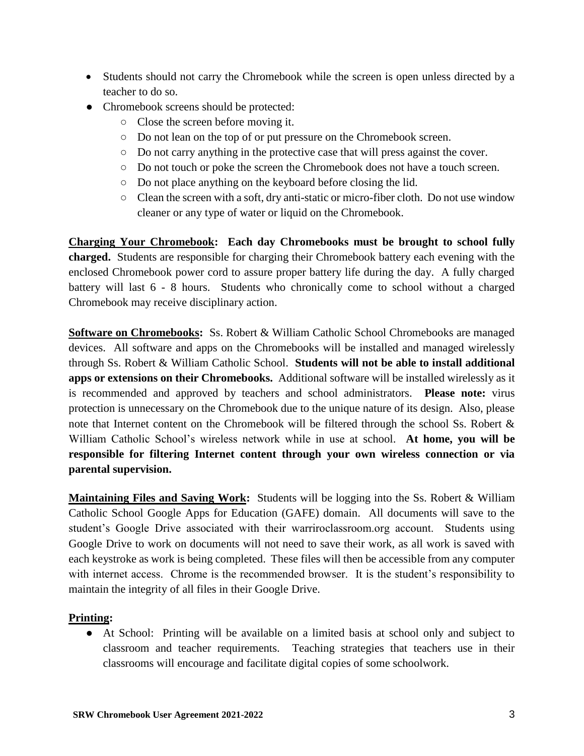- Students should not carry the Chromebook while the screen is open unless directed by a teacher to do so.
- Chromebook screens should be protected:
	- Close the screen before moving it.
	- Do not lean on the top of or put pressure on the Chromebook screen.
	- Do not carry anything in the protective case that will press against the cover.
	- Do not touch or poke the screen the Chromebook does not have a touch screen.
	- Do not place anything on the keyboard before closing the lid.
	- Clean the screen with a soft, dry anti-static or micro-fiber cloth. Do not use window cleaner or any type of water or liquid on the Chromebook.

**Charging Your Chromebook: Each day Chromebooks must be brought to school fully charged.** Students are responsible for charging their Chromebook battery each evening with the enclosed Chromebook power cord to assure proper battery life during the day. A fully charged battery will last 6 - 8 hours. Students who chronically come to school without a charged Chromebook may receive disciplinary action.

**Software on Chromebooks:** Ss. Robert & William Catholic School Chromebooks are managed devices. All software and apps on the Chromebooks will be installed and managed wirelessly through Ss. Robert & William Catholic School. **Students will not be able to install additional apps or extensions on their Chromebooks.** Additional software will be installed wirelessly as it is recommended and approved by teachers and school administrators. **Please note:** virus protection is unnecessary on the Chromebook due to the unique nature of its design. Also, please note that Internet content on the Chromebook will be filtered through the school Ss. Robert & William Catholic School's wireless network while in use at school. **At home, you will be responsible for filtering Internet content through your own wireless connection or via parental supervision.**

**Maintaining Files and Saving Work:** Students will be logging into the Ss. Robert & William Catholic School Google Apps for Education (GAFE) domain. All documents will save to the student's Google Drive associated with their warriroclassroom.org account. Students using Google Drive to work on documents will not need to save their work, as all work is saved with each keystroke as work is being completed. These files will then be accessible from any computer with internet access. Chrome is the recommended browser. It is the student's responsibility to maintain the integrity of all files in their Google Drive.

## **Printing:**

● At School: Printing will be available on a limited basis at school only and subject to classroom and teacher requirements. Teaching strategies that teachers use in their classrooms will encourage and facilitate digital copies of some schoolwork.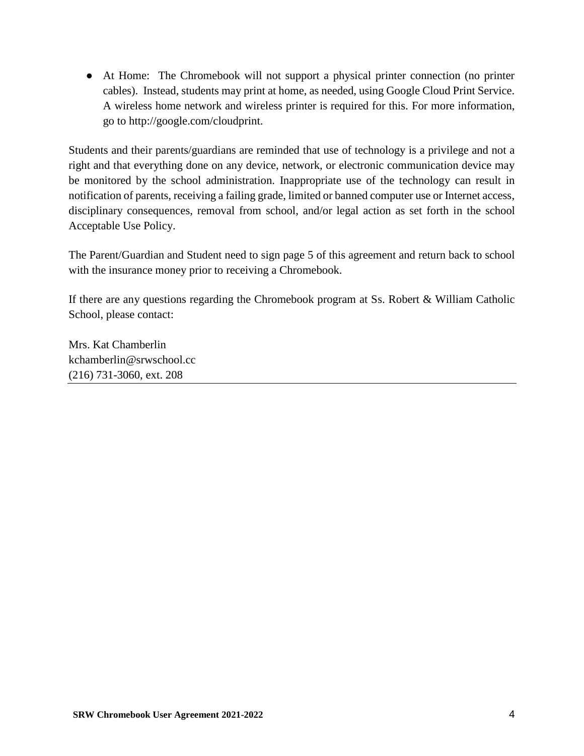● At Home: The Chromebook will not support a physical printer connection (no printer cables). Instead, students may print at home, as needed, using Google Cloud Print Service. A wireless home network and wireless printer is required for this. For more information, go to http://google.com/cloudprint.

Students and their parents/guardians are reminded that use of technology is a privilege and not a right and that everything done on any device, network, or electronic communication device may be monitored by the school administration. Inappropriate use of the technology can result in notification of parents, receiving a failing grade, limited or banned computer use or Internet access, disciplinary consequences, removal from school, and/or legal action as set forth in the school Acceptable Use Policy.

The Parent/Guardian and Student need to sign page 5 of this agreement and return back to school with the insurance money prior to receiving a Chromebook.

If there are any questions regarding the Chromebook program at Ss. Robert & William Catholic School, please contact:

Mrs. Kat Chamberlin kchamberlin@srwschool.cc (216) 731-3060, ext. 208